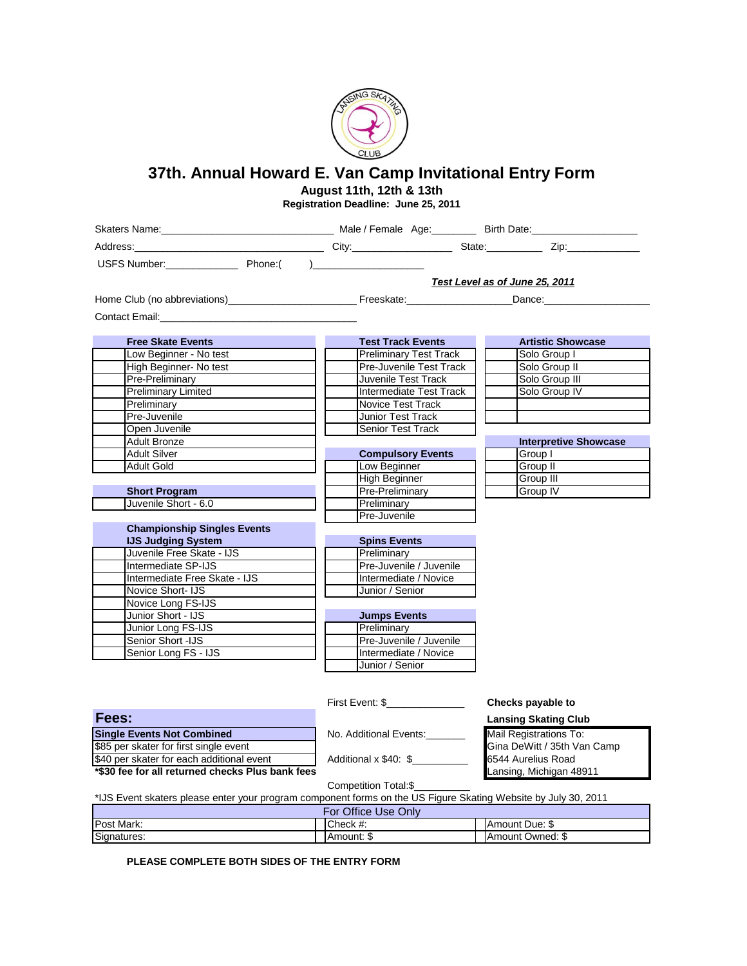

## **37th. Annual Howard E. Van Camp Invitational Entry Form**

**August 11th, 12th & 13th**

**Registration Deadline: June 25, 2011**

| Skaters Name: <u>Communication and Communication and Communication</u> Male / Female Age: Birth Date: Communication and Communication and Communication and Communication and Communication and Communication and Communication and |                                |                              |  |  |  |
|-------------------------------------------------------------------------------------------------------------------------------------------------------------------------------------------------------------------------------------|--------------------------------|------------------------------|--|--|--|
|                                                                                                                                                                                                                                     |                                |                              |  |  |  |
| USFS Number: Phone: ( )                                                                                                                                                                                                             |                                |                              |  |  |  |
|                                                                                                                                                                                                                                     |                                |                              |  |  |  |
|                                                                                                                                                                                                                                     | Test Level as of June 25, 2011 |                              |  |  |  |
|                                                                                                                                                                                                                                     |                                |                              |  |  |  |
| Contact Email: Executive Contact Email:                                                                                                                                                                                             |                                |                              |  |  |  |
|                                                                                                                                                                                                                                     |                                |                              |  |  |  |
| <b>Free Skate Events</b>                                                                                                                                                                                                            | <b>Test Track Events</b>       | <b>Artistic Showcase</b>     |  |  |  |
| Low Beginner - No test                                                                                                                                                                                                              | <b>Preliminary Test Track</b>  | Solo Group I                 |  |  |  |
| High Beginner- No test                                                                                                                                                                                                              | Pre-Juvenile Test Track        | Solo Group II                |  |  |  |
| Pre-Preliminary                                                                                                                                                                                                                     | Juvenile Test Track            | Solo Group III               |  |  |  |
| <b>Preliminary Limited</b>                                                                                                                                                                                                          | Intermediate Test Track        | Solo Group IV                |  |  |  |
| Preliminary                                                                                                                                                                                                                         | <b>Novice Test Track</b>       |                              |  |  |  |
| Pre-Juvenile                                                                                                                                                                                                                        | <b>Junior Test Track</b>       |                              |  |  |  |
| Open Juvenile                                                                                                                                                                                                                       | <b>Senior Test Track</b>       |                              |  |  |  |
| <b>Adult Bronze</b>                                                                                                                                                                                                                 |                                | <b>Interpretive Showcase</b> |  |  |  |
| <b>Adult Silver</b>                                                                                                                                                                                                                 | <b>Compulsory Events</b>       | Group I                      |  |  |  |
| Adult Gold                                                                                                                                                                                                                          | Low Beginner                   | Group II                     |  |  |  |
|                                                                                                                                                                                                                                     | <b>High Beginner</b>           | Group III                    |  |  |  |
| <b>Short Program</b>                                                                                                                                                                                                                | Pre-Preliminary                | Group IV                     |  |  |  |
| Juvenile Short - 6.0                                                                                                                                                                                                                | Preliminary                    |                              |  |  |  |
|                                                                                                                                                                                                                                     | Pre-Juvenile                   |                              |  |  |  |
| <b>Championship Singles Events</b>                                                                                                                                                                                                  |                                |                              |  |  |  |
| <b>IJS Judging System</b>                                                                                                                                                                                                           | <b>Spins Events</b>            |                              |  |  |  |
| Juvenile Free Skate - IJS                                                                                                                                                                                                           | Preliminary                    |                              |  |  |  |
| Intermediate SP-IJS                                                                                                                                                                                                                 | Pre-Juvenile / Juvenile        |                              |  |  |  |
| Intermediate Free Skate - IJS                                                                                                                                                                                                       | Intermediate / Novice          |                              |  |  |  |
| Novice Short- IJS                                                                                                                                                                                                                   | Junior / Senior                |                              |  |  |  |
| Novice Long FS-IJS                                                                                                                                                                                                                  |                                |                              |  |  |  |
| Junior Short - IJS                                                                                                                                                                                                                  | <b>Jumps Events</b>            |                              |  |  |  |
| Junior Long FS-IJS                                                                                                                                                                                                                  | Preliminary                    |                              |  |  |  |
| Senior Short -IJS                                                                                                                                                                                                                   | Pre-Juvenile / Juvenile        |                              |  |  |  |
| Senior Long FS - IJS                                                                                                                                                                                                                | Intermediate / Novice          |                              |  |  |  |
|                                                                                                                                                                                                                                     | Junior / Senior                |                              |  |  |  |
|                                                                                                                                                                                                                                     |                                |                              |  |  |  |
|                                                                                                                                                                                                                                     |                                |                              |  |  |  |
|                                                                                                                                                                                                                                     | First Event: \$                | Checks payable to            |  |  |  |
| Fees:                                                                                                                                                                                                                               |                                | Lansing Skating Club         |  |  |  |

| Fees:                                                                                                          |                        | <b>Lansing Skating Club</b> |
|----------------------------------------------------------------------------------------------------------------|------------------------|-----------------------------|
| <b>Single Events Not Combined</b>                                                                              | No. Additional Events: | Mail Registrations To:      |
| \$85 per skater for first single event                                                                         |                        | Gina DeWitt / 35th Van Camp |
| \$40 per skater for each additional event                                                                      | Additional x \$40: \$  | 6544 Aurelius Road          |
| *\$30 fee for all returned checks Plus bank fees                                                               |                        | Lansing, Michigan 48911     |
|                                                                                                                | Competition Total:\$   |                             |
| *IJS Event skaters please enter your program component forms on the US Figure Skating Website by July 30, 2011 |                        |                             |

Amount: \$ Check #: **All Check #:** Amount Due: \$ Amount Owned: \$ For Office Use Only Post Mark: Signatures:

**PLEASE COMPLETE BOTH SIDES OF THE ENTRY FORM**